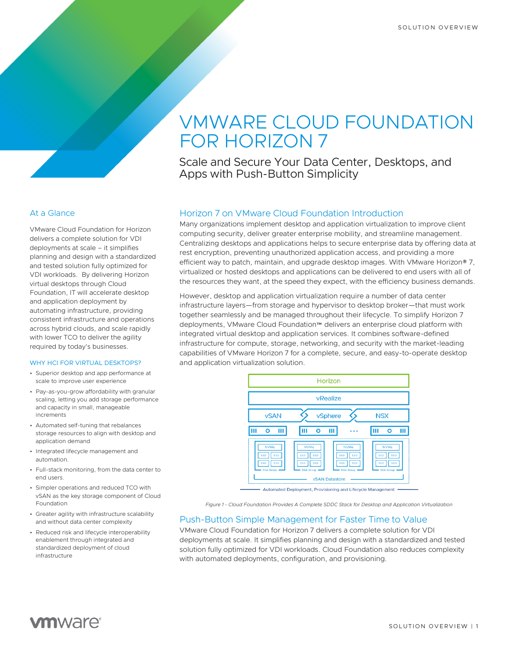# VMWARE CLOUD FOUNDATION FOR HORIZON 7

Scale and Secure Your Data Center, Desktops, and Apps with Push-Button Simplicity

# Horizon 7 on VMware Cloud Foundation Introduction

Many organizations implement desktop and application virtualization to improve client computing security, deliver greater enterprise mobility, and streamline management. Centralizing desktops and applications helps to secure enterprise data by offering data at rest encryption, preventing unauthorized application access, and providing a more efficient way to patch, maintain, and upgrade desktop images. With VMware Horizon® 7, virtualized or hosted desktops and applications can be delivered to end users with all of the resources they want, at the speed they expect, with the efficiency business demands.

However, desktop and application virtualization require a number of data center infrastructure layers—from storage and hypervisor to desktop broker—that must work together seamlessly and be managed throughout their lifecycle. To simplify Horizon 7 deployments, VMware Cloud Foundation™ delivers an enterprise cloud platform with integrated virtual desktop and application services. It combines software-defined infrastructure for compute, storage, networking, and security with the market-leading capabilities of VMware Horizon 7 for a complete, secure, and easy-to-operate desktop and application virtualization solution.

|                                                                                   | Horizon                                                                                                                                                  |                                                                            |
|-----------------------------------------------------------------------------------|----------------------------------------------------------------------------------------------------------------------------------------------------------|----------------------------------------------------------------------------|
|                                                                                   | vRealize                                                                                                                                                 |                                                                            |
| <b>vSAN</b>                                                                       | vSphere                                                                                                                                                  | <b>NSX</b>                                                                 |
| n<br>Ш                                                                            | Ο<br>Ш                                                                                                                                                   | о<br>Ш                                                                     |
| <b>NVMe</b><br><b>SSD</b><br><b>SSD</b><br>SSD<br><b>SSD</b><br><b>Disk Group</b> | <b>NVMe</b><br><b>NVMe</b><br><b>SSD</b><br><b>SSD</b><br>SSD<br>SSD<br>SSD<br><b>SSD</b><br><b>SSD</b><br>SSD<br><b>Disk Group</b><br><b>Disk Group</b> | <b>NVMe</b><br><b>SSD</b><br>SSD<br><b>SSD</b><br>SSD<br><b>Disk Group</b> |
|                                                                                   | <b>vSAN Datastore</b>                                                                                                                                    |                                                                            |

*Figure 1 - Cloud Foundation Provides A Complete SDDC Stack for Desktop and Application Virtualization*

# Push-Button Simple Management for Faster Time to Value

VMware Cloud Foundation for Horizon 7 delivers a complete solution for VDI deployments at scale. It simplifies planning and design with a standardized and tested solution fully optimized for VDI workloads. Cloud Foundation also reduces complexity with automated deployments, configuration, and provisioning.

# At a Glance

VMware Cloud Foundation for Horizon delivers a complete solution for VDI deployments at scale – it simplifies planning and design with a standardized and tested solution fully optimized for VDI workloads. By delivering Horizon virtual desktops through Cloud Foundation, IT will accelerate desktop and application deployment by automating infrastructure, providing consistent infrastructure and operations across hybrid clouds, and scale rapidly with lower TCO to deliver the agility required by today's businesses.

#### WHY HCI FOR VIRTUAL DESKTOPS?

- Superior desktop and app performance at scale to improve user experience
- Pay-as-you-grow affordability with granular scaling, letting you add storage performance and capacity in small, manageable increments
- Automated self-tuning that rebalances storage resources to align with desktop and application demand
- Integrated lifecycle management and automation.
- Full-stack monitoring, from the data center to end users.
- Simpler operations and reduced TCO with vSAN as the key storage component of Cloud Foundation
- Greater agility with infrastructure scalability and without data center complexity
- Reduced risk and lifecycle interoperability enablement through integrated and standardized deployment of cloud infrastructure

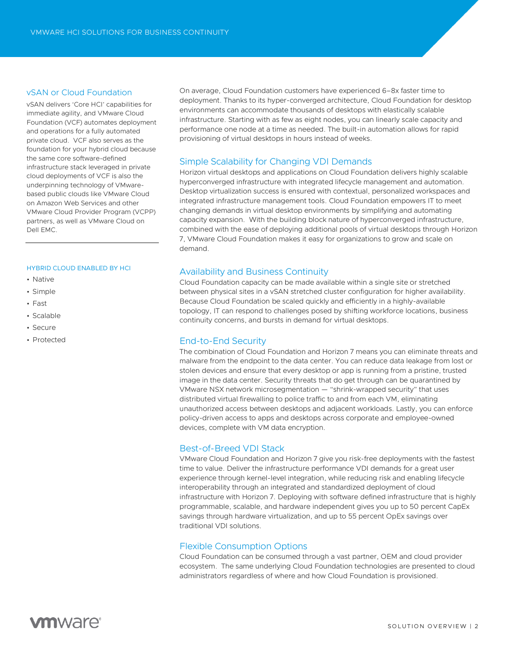### vSAN or Cloud Foundation

vSAN delivers 'Core HCI' capabilities for immediate agility, and VMware Cloud Foundation (VCF) automates deployment and operations for a fully automated private cloud. VCF also serves as the foundation for your hybrid cloud because the same core software-defined infrastructure stack leveraged in private cloud deployments of VCF is also the underpinning technology of VMwarebased public clouds like VMware Cloud on Amazon Web Services and other VMware Cloud Provider Program (VCPP) partners, as well as VMware Cloud on Dell EMC.

#### HYBRID CLOUD ENABLED BY HCI

- Native
- Simple
- Fast
- Scalable
- Secure
- Protected

On average, Cloud Foundation customers have experienced 6–8x faster time to deployment. Thanks to its hyper-converged architecture, Cloud Foundation for desktop environments can accommodate thousands of desktops with elastically scalable infrastructure. Starting with as few as eight nodes, you can linearly scale capacity and performance one node at a time as needed. The built-in automation allows for rapid provisioning of virtual desktops in hours instead of weeks.

# Simple Scalability for Changing VDI Demands

Horizon virtual desktops and applications on Cloud Foundation delivers highly scalable hyperconverged infrastructure with integrated lifecycle management and automation. Desktop virtualization success is ensured with contextual, personalized workspaces and integrated infrastructure management tools. Cloud Foundation empowers IT to meet changing demands in virtual desktop environments by simplifying and automating capacity expansion. With the building block nature of hyperconverged infrastructure, combined with the ease of deploying additional pools of virtual desktops through Horizon 7, VMware Cloud Foundation makes it easy for organizations to grow and scale on demand.

# Availability and Business Continuity

Cloud Foundation capacity can be made available within a single site or stretched between physical sites in a vSAN stretched cluster configuration for higher availability. Because Cloud Foundation be scaled quickly and efficiently in a highly-available topology, IT can respond to challenges posed by shifting workforce locations, business continuity concerns, and bursts in demand for virtual desktops.

# End-to-End Security

The combination of Cloud Foundation and Horizon 7 means you can eliminate threats and malware from the endpoint to the data center. You can reduce data leakage from lost or stolen devices and ensure that every desktop or app is running from a pristine, trusted image in the data center. Security threats that do get through can be quarantined by VMware NSX network microsegmentation — "shrink-wrapped security" that uses distributed virtual firewalling to police traffic to and from each VM, eliminating unauthorized access between desktops and adjacent workloads. Lastly, you can enforce policy-driven access to apps and desktops across corporate and employee-owned devices, complete with VM data encryption.

# Best-of-Breed VDI Stack

VMware Cloud Foundation and Horizon 7 give you risk-free deployments with the fastest time to value. Deliver the infrastructure performance VDI demands for a great user experience through kernel-level integration, while reducing risk and enabling lifecycle interoperability through an integrated and standardized deployment of cloud infrastructure with Horizon 7. Deploying with software defined infrastructure that is highly programmable, scalable, and hardware independent gives you up to 50 percent CapEx savings through hardware virtualization, and up to 55 percent OpEx savings over traditional VDI solutions.

#### Flexible Consumption Options

Cloud Foundation can be consumed through a vast partner, OEM and cloud provider ecosystem. The same underlying Cloud Foundation technologies are presented to cloud administrators regardless of where and how Cloud Foundation is provisioned.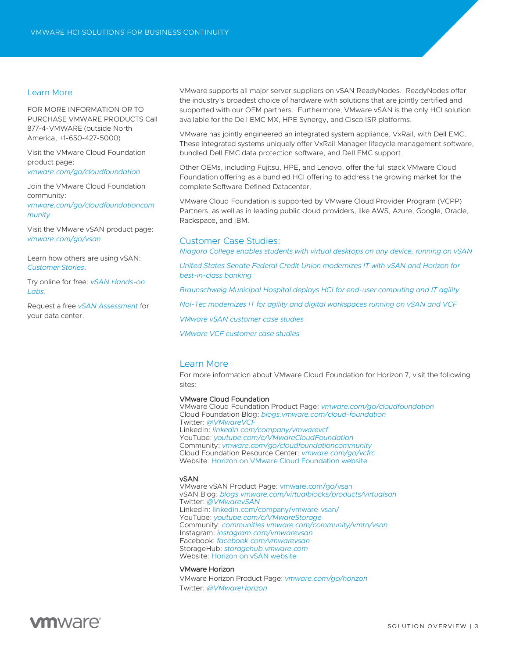#### Learn More

FOR MORE INFORMATION OR TO PURCHASE VMWARE PRODUCTS Call 877-4-VMWARE (outside North America, +1-650-427-5000)

Visit the VMware Cloud Foundation product page:

*[vmware.com/go/cloudfoundation](https://vmware.com/go/cloudfoundation)*

Join the VMware Cloud Foundation community:

*[vmware.com/go/cloudfoundationcom](https://vmware.com/go/cloudfoundationcommunity) [munity](https://vmware.com/go/cloudfoundationcommunity)*

Visit the VMware vSAN product page: *[vmware.com/go/vsan](https://vmware.com/go/vsan)*

Learn how others are using vSAN: *[Customer Stories](https://www.vmware.com/products/vsan.html#customer-stories)*.

Try online for free: *[vSAN Hands-on](https://www.vmware.com/try-vmware/try-hands-on-labs.html#storage)  [Labs](https://www.vmware.com/try-vmware/try-hands-on-labs.html#storage)*.

Request a free *[vSAN Assessment](https://www.vmware.com/products/hyper-converged-infrastructure/assessment.html)* for your data center.

VMware supports all major server suppliers on vSAN ReadyNodes. ReadyNodes offer the industry's broadest choice of hardware with solutions that are jointly certified and supported with our OEM partners. Furthermore, VMware vSAN is the only HCI solution available for the Dell EMC MX, HPE Synergy, and Cisco ISR platforms.

VMware has jointly engineered an integrated system appliance, VxRail, with Dell EMC. These integrated systems uniquely offer VxRail Manager lifecycle management software, bundled Dell EMC data protection software, and Dell EMC support.

Other OEMs, including Fujitsu, HPE, and Lenovo, offer the full stack VMware Cloud Foundation offering as a bundled HCI offering to address the growing market for the complete Software Defined Datacenter.

VMware Cloud Foundation is supported by VMware Cloud Provider Program (VCPP) Partners, as well as in leading public cloud providers, like AWS, Azure, Google, Oracle, Rackspace, and IBM.

#### Customer Case Studies:

*[Niagara College enables students with virtual desktops on any device, running on vSAN](https://www.vmware.com/content/dam/digitalmarketing/vmware/en/pdf/customers/vmw-niagara-college-case-study.pdf)*

*[United States Senate Federal Credit Union modernizes IT with vSAN and Horizon for](https://www.vmware.com/content/dam/digitalmarketing/vmware/en/pdf/customers/ussfcu-solution-case-study-en.pdf)  [best-in-class banking](https://www.vmware.com/content/dam/digitalmarketing/vmware/en/pdf/customers/ussfcu-solution-case-study-en.pdf)*

*[Braunschweig Municipal Hospital deploys HCI for end-user computing and IT agility](https://www.vmware.com/content/dam/digitalmarketing/vmware/en/pdf/customers/vmw-klinikum-braunschweig-en-case-study.pdf)*

*[Nol-Tec modernizes IT for agility and digital workspaces running on vSAN and VCF](https://www.vmware.com/content/dam/digitalmarketing/vmware/en/pdf/products/vsan/vmw-nol-tec-systems.pdf)*

*[VMware vSAN customer case studies](https://www.vmware.com/company/customers.html?src=WWW_HrzOld_Features_HorizonSuccessStories#product=vmware-virtual-san6)*

*[VMware VCF customer case studies](https://www.vmware.com/company/customers.html?src=WWW_HrzOld_Features_HorizonSuccessStories#product=VMwareCloudFoundation)*

### Learn More

For more information about VMware Cloud Foundation for Horizon 7, visit the following sites:

#### VMware Cloud Foundation

VMware Cloud Foundation Product Page: *[vmware.com/go/cloudfoundation](https://vmware.com/go/cloudfoundationcommunity)* Cloud Foundation Blog: *[blogs.vmware.com/cloud-foundation](http://blogs.vmware.com/cloud-foundation/)* Twitter: *[@VMwareVCF](https://twitter.com/vmwarevcf)* LinkedIn: *[linkedin.com/company/vmwarevcf](https://www.linkedin.com/company/vmwarevcf/)* YouTube: *youtube.com/c/VMwareCloudFoundation* Community: *[vmware.com/go/cloudfoundationcommunity](https://vmware.com/go/cloudfoundationcommunity)* Cloud Foundation Resource Center: *[vmware.com/go/vcfrc](https://www.vmware.com/go/vcfrc)* Website[: Horizon on VMware Cloud Foundation](https://www.vmware.com/products/horizon/horizon-cloud-foundation.html) website

#### vSAN

VMware vSAN Product Page[: vmware.com/go/vsan](https://www.vmware.com/products/vsan.html) vSAN Blog: *[blogs.vmware.com/virtualblocks/products/virtualsan](http://blogs.vmware.com/virtualblocks/products/virtualsan/)* Twitter: *[@VMwarevSAN](https://twitter.com/vmwarevsan)* LinkedIn: linkedin.com/company/vmware-vsan/ YouTube: *[youtube.com/c/VMwareStorage](http://www.youtube.com/c/VMwareStorage)* Community: *communities.vmware.com/community/vmtn/vsan* Instagram: *[instagram.com/vmwarevsan](https://instagram.com/vmwarevsan/)* Facebook: *[facebook.com/vmwarevsan](https://www.facebook.com/vmwarevsan/)* StorageHub: *[storagehub.vmware.com](http://storagehub.vmware.com/)* Website[: Horizon on vSAN website](https://www.vmware.com/products/horizon/horizon-vsan.html)

#### VMware Horizon

VMware Horizon Product Page: *[vmware.com/go/horizon](https://www.vmware.com/products/horizon.html)* Twitter: *[@VMwareHorizon](https://twitter.com/vmwarehorizon)*

# **vm**ware<sup>®</sup>